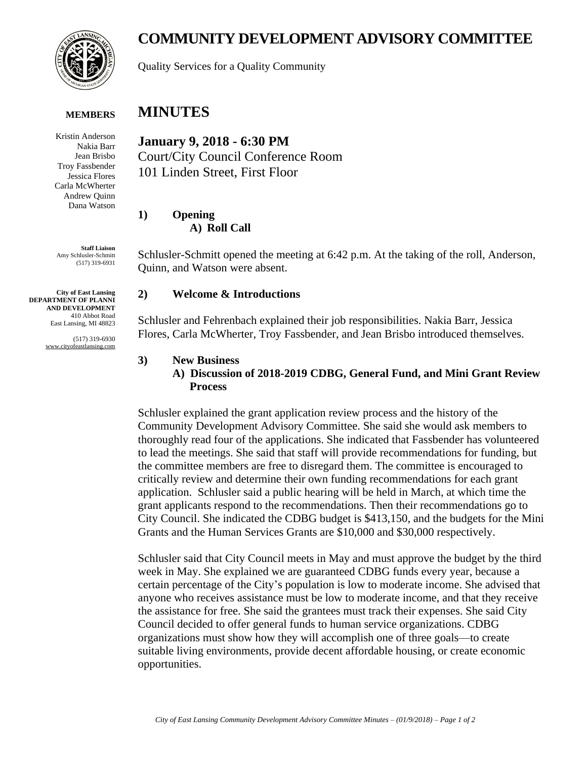

**MEMBERS**

Kristin Anderson Nakia Barr Jean Brisbo Troy Fassbender Jessica Flores Carla McWherter Andrew Quinn Dana Watson

**Staff Liaison** Amy Schlusler-Schmitt (517) 319-6931

**City of East Lansing DEPARTMENT OF PLANNI AND DEVELOPMENT** 410 Abbot Road East Lansing, MI 48823

> (517) 319-6930 www.cityofeastlansing.com

# **COMMUNITY DEVELOPMENT ADVISORY COMMITTEE**

Quality Services for a Quality Community

# **MINUTES**

**January 9, 2018 - 6:30 PM** Court/City Council Conference Room 101 Linden Street, First Floor

**1) Opening A) Roll Call**

Schlusler-Schmitt opened the meeting at 6:42 p.m. At the taking of the roll, Anderson, Quinn, and Watson were absent.

#### **2) Welcome & Introductions**

Schlusler and Fehrenbach explained their job responsibilities. Nakia Barr, Jessica Flores, Carla McWherter, Troy Fassbender, and Jean Brisbo introduced themselves.

#### **3) New Business**

### **A) Discussion of 2018-2019 CDBG, General Fund, and Mini Grant Review Process**

Schlusler explained the grant application review process and the history of the Community Development Advisory Committee. She said she would ask members to thoroughly read four of the applications. She indicated that Fassbender has volunteered to lead the meetings. She said that staff will provide recommendations for funding, but the committee members are free to disregard them. The committee is encouraged to critically review and determine their own funding recommendations for each grant application. Schlusler said a public hearing will be held in March, at which time the grant applicants respond to the recommendations. Then their recommendations go to City Council. She indicated the CDBG budget is \$413,150, and the budgets for the Mini Grants and the Human Services Grants are \$10,000 and \$30,000 respectively.

Schlusler said that City Council meets in May and must approve the budget by the third week in May. She explained we are guaranteed CDBG funds every year, because a certain percentage of the City's population is low to moderate income. She advised that anyone who receives assistance must be low to moderate income, and that they receive the assistance for free. She said the grantees must track their expenses. She said City Council decided to offer general funds to human service organizations. CDBG organizations must show how they will accomplish one of three goals—to create suitable living environments, provide decent affordable housing, or create economic opportunities.